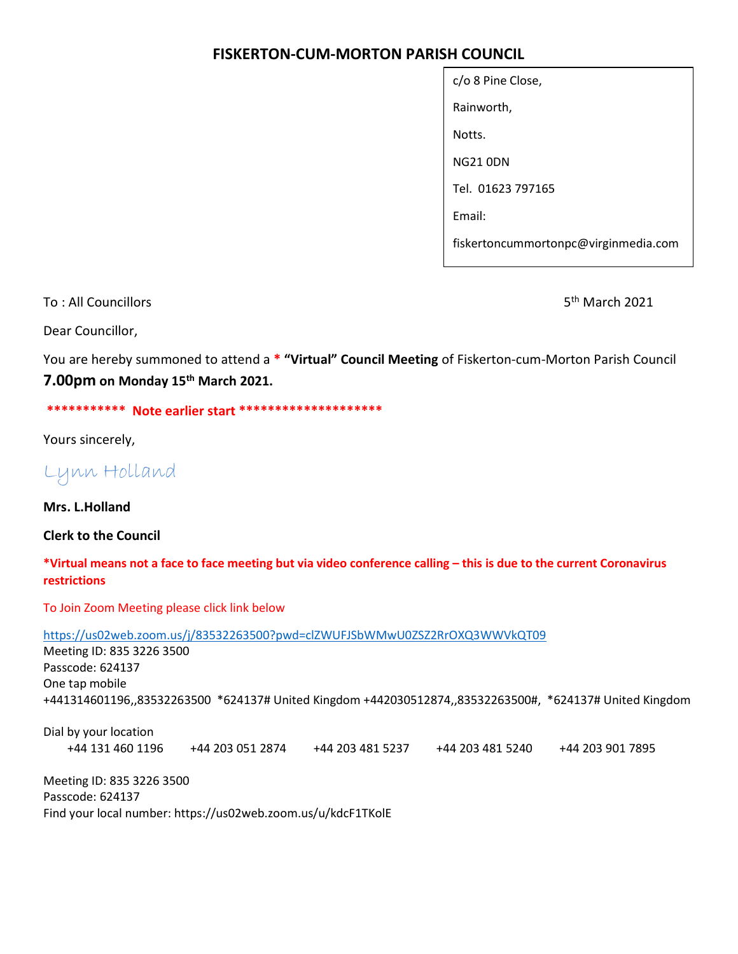## FISKERTON-CUM-MORTON PARISH COUNCIL

| c/o 8 Pine Close,                    |
|--------------------------------------|
| Rainworth,                           |
| Notts.                               |
| NG21 0DN                             |
| Tel. 01623 797165                    |
| Fmail:                               |
| fiskertoncummortonpc@virginmedia.com |

To : All Councillors 6th March 2021 **State Act 2021** State Act 2021 **State Act 2021** 

Dear Councillor,

You are hereby summoned to attend a \* "Virtual" Council Meeting of Fiskerton-cum-Morton Parish Council 7.00pm on Monday 15<sup>th</sup> March 2021.

\*\*\*\*\*\*\*\*\*\*\* Note earlier start \*\*\*\*\*\*\*\*\*\*\*\*\*\*\*\*\*\*\*\*

Yours sincerely,

Lynn Holland

Mrs. L.Holland

Clerk to the Council

## \*Virtual means not a face to face meeting but via video conference calling – this is due to the current Coronavirus restrictions

To Join Zoom Meeting please click link below

https://us02web.zoom.us/j/83532263500?pwd=clZWUFJSbWMwU0ZSZ2RrOXQ3WWVkQT09

Meeting ID: 835 3226 3500 Passcode: 624137 One tap mobile +441314601196,,83532263500 \*624137# United Kingdom +442030512874,,83532263500#, \*624137# United Kingdom

Dial by your location +44 131 460 1196 +44 203 051 2874 +44 203 481 5237 +44 203 481 5240 +44 203 901 7895

Meeting ID: 835 3226 3500 Passcode: 624137 Find your local number: https://us02web.zoom.us/u/kdcF1TKolE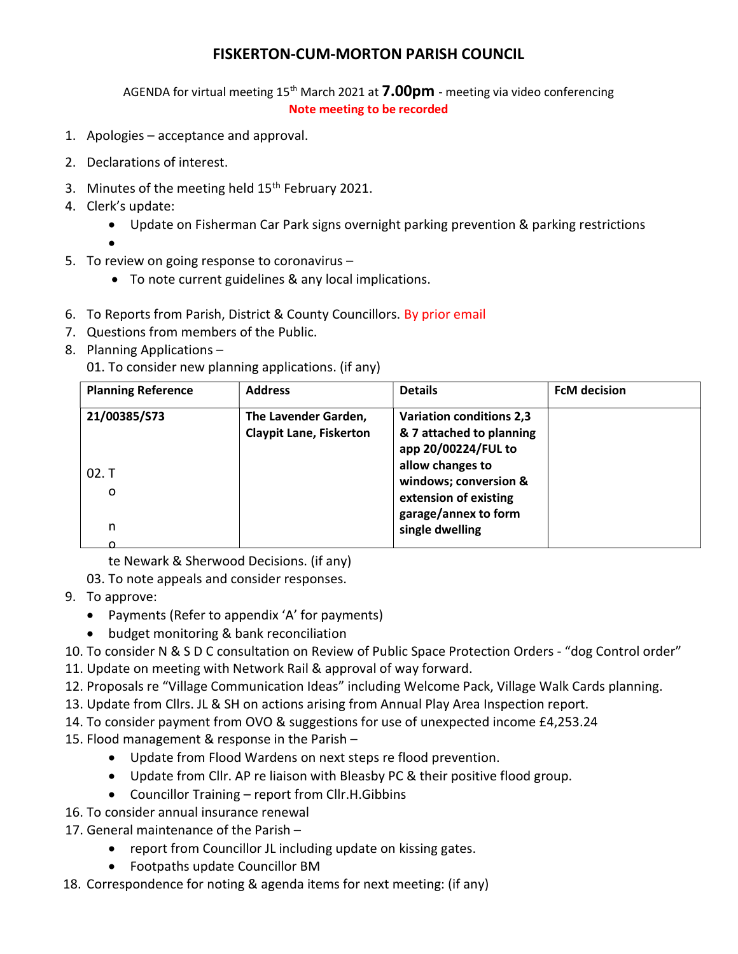## FISKERTON-CUM-MORTON PARISH COUNCIL

AGENDA for virtual meeting  $15<sup>th</sup>$  March 2021 at **7.00pm** - meeting via video conferencing Note meeting to be recorded

- 1. Apologies acceptance and approval.
- 2. Declarations of interest.
- 3. Minutes of the meeting held  $15<sup>th</sup>$  February 2021.
- 4. Clerk's update:
	- Update on Fisherman Car Park signs overnight parking prevention & parking restrictions
	- $\bullet$
- 5. To review on going response to coronavirus
	- To note current guidelines & any local implications.
- 6. To Reports from Parish, District & County Councillors. By prior email
- 7. Questions from members of the Public.
- 8. Planning Applications –

01. To consider new planning applications. (if any)

| <b>Planning Reference</b>  | <b>Address</b>                                         | <b>Details</b>                                                                                                                  | <b>FcM decision</b> |
|----------------------------|--------------------------------------------------------|---------------------------------------------------------------------------------------------------------------------------------|---------------------|
| 21/00385/S73<br>02. T<br>o | The Lavender Garden,<br><b>Claypit Lane, Fiskerton</b> | <b>Variation conditions 2,3</b><br>& 7 attached to planning<br>app 20/00224/FUL to<br>allow changes to<br>windows; conversion & |                     |
| n                          |                                                        | extension of existing<br>garage/annex to form<br>single dwelling                                                                |                     |

te Newark & Sherwood Decisions. (if any)

03. To note appeals and consider responses.

- 9. To approve:
	- Payments (Refer to appendix 'A' for payments)
	- budget monitoring & bank reconciliation
- 10. To consider N & S D C consultation on Review of Public Space Protection Orders "dog Control order"
- 11. Update on meeting with Network Rail & approval of way forward.
- 12. Proposals re "Village Communication Ideas" including Welcome Pack, Village Walk Cards planning.
- 13. Update from Cllrs. JL & SH on actions arising from Annual Play Area Inspection report.
- 14. To consider payment from OVO & suggestions for use of unexpected income £4,253.24
- 15. Flood management & response in the Parish
	- Update from Flood Wardens on next steps re flood prevention.
	- Update from Cllr. AP re liaison with Bleasby PC & their positive flood group.
	- Councillor Training report from Cllr.H.Gibbins
- 16. To consider annual insurance renewal
- 17. General maintenance of the Parish
	- report from Councillor JL including update on kissing gates.
	- Footpaths update Councillor BM
- 18. Correspondence for noting & agenda items for next meeting: (if any)